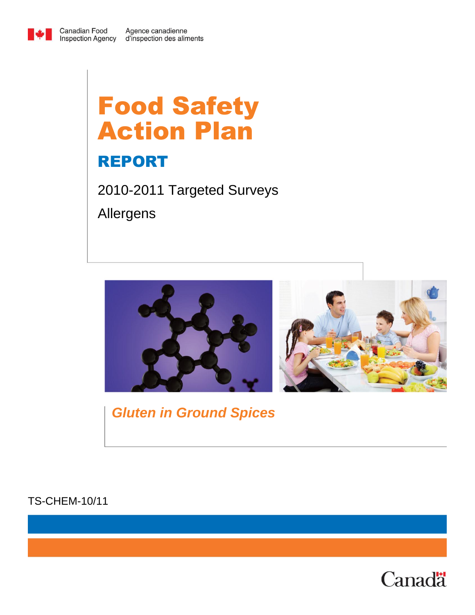

# Food Safety Action Plan

# REPORT

2010-2011 Targeted Surveys Allergens



# *Gluten in Ground Spices*

TS-CHEM-10/11

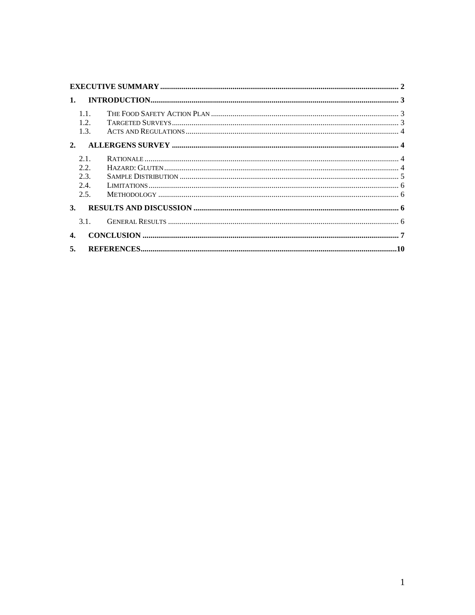| 1.        |                                     |  |  |
|-----------|-------------------------------------|--|--|
|           | 1.1.<br>1.2.<br>1.3.                |  |  |
| 2.        |                                     |  |  |
|           | 2.1<br>2.2.<br>2.3.<br>2.4.<br>2.5. |  |  |
| <b>3.</b> |                                     |  |  |
|           | 3.1.                                |  |  |
|           |                                     |  |  |
| 5.        |                                     |  |  |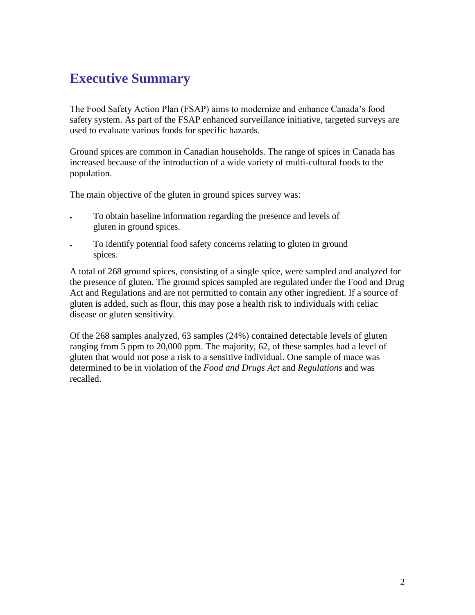### <span id="page-2-0"></span>**Executive Summary**

The Food Safety Action Plan (FSAP) aims to modernize and enhance Canada's food safety system. As part of the FSAP enhanced surveillance initiative, targeted surveys are used to evaluate various foods for specific hazards.

Ground spices are common in Canadian households. The range of spices in Canada has increased because of the introduction of a wide variety of multi-cultural foods to the population.

The main objective of the gluten in ground spices survey was:

- To obtain baseline information regarding the presence and levels of gluten in ground spices.
- To identify potential food safety concerns relating to gluten in ground spices.

A total of 268 ground spices, consisting of a single spice, were sampled and analyzed for the presence of gluten. The ground spices sampled are regulated under the Food and Drug Act and Regulations and are not permitted to contain any other ingredient. If a source of gluten is added, such as flour, this may pose a health risk to individuals with celiac disease or gluten sensitivity.

Of the 268 samples analyzed, 63 samples (24%) contained detectable levels of gluten ranging from 5 ppm to 20,000 ppm. The majority, 62, of these samples had a level of gluten that would not pose a risk to a sensitive individual. One sample of mace was determined to be in violation of the *Food and Drugs Act* and *Regulations* and was recalled.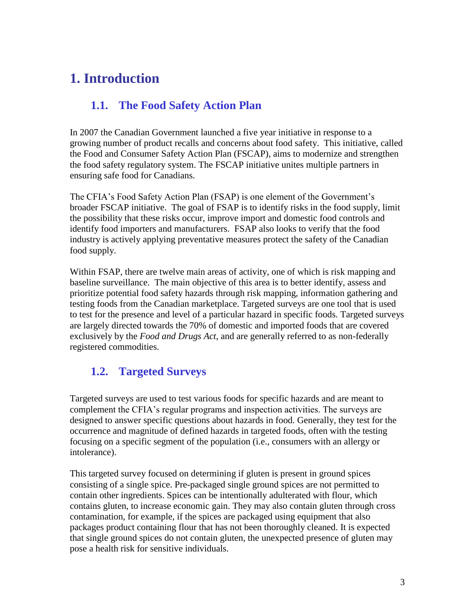## <span id="page-3-1"></span><span id="page-3-0"></span>**1. Introduction**

#### **1.1. The Food Safety Action Plan**

In 2007 the Canadian Government launched a five year initiative in response to a growing number of product recalls and concerns about food safety. This initiative, called the Food and Consumer Safety Action Plan (FSCAP), aims to modernize and strengthen the food safety regulatory system. The FSCAP initiative unites multiple partners in ensuring safe food for Canadians.

The CFIA's Food Safety Action Plan (FSAP) is one element of the Government's broader FSCAP initiative. The goal of FSAP is to identify risks in the food supply, limit the possibility that these risks occur, improve import and domestic food controls and identify food importers and manufacturers. FSAP also looks to verify that the food industry is actively applying preventative measures protect the safety of the Canadian food supply.

Within FSAP, there are twelve main areas of activity, one of which is risk mapping and baseline surveillance. The main objective of this area is to better identify, assess and prioritize potential food safety hazards through risk mapping, information gathering and testing foods from the Canadian marketplace. Targeted surveys are one tool that is used to test for the presence and level of a particular hazard in specific foods. Targeted surveys are largely directed towards the 70% of domestic and imported foods that are covered exclusively by the *Food and Drugs Act*, and are generally referred to as non-federally registered commodities.

#### <span id="page-3-2"></span>**1.2. Targeted Surveys**

Targeted surveys are used to test various foods for specific hazards and are meant to complement the CFIA's regular programs and inspection activities. The surveys are designed to answer specific questions about hazards in food. Generally, they test for the occurrence and magnitude of defined hazards in targeted foods, often with the testing focusing on a specific segment of the population (i.e., consumers with an allergy or intolerance).

This targeted survey focused on determining if gluten is present in ground spices consisting of a single spice. Pre-packaged single ground spices are not permitted to contain other ingredients. Spices can be intentionally adulterated with flour, which contains gluten, to increase economic gain. They may also contain gluten through cross contamination, for example, if the spices are packaged using equipment that also packages product containing flour that has not been thoroughly cleaned. It is expected that single ground spices do not contain gluten, the unexpected presence of gluten may pose a health risk for sensitive individuals.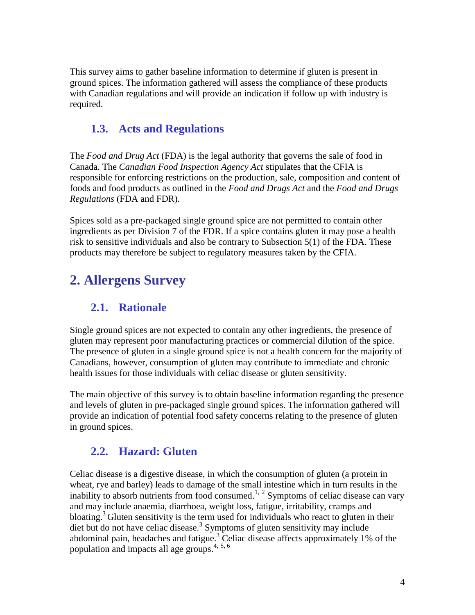This survey aims to gather baseline information to determine if gluten is present in ground spices. The information gathered will assess the compliance of these products with Canadian regulations and will provide an indication if follow up with industry is required.

#### <span id="page-4-0"></span>**1.3. Acts and Regulations**

<span id="page-4-1"></span>The *Food and Drug Act* (FDA) is the legal authority that governs the sale of food in Canada. The *Canadian Food Inspection Agency Act* stipulates that the CFIA is responsible for enforcing restrictions on the production, sale, composition and content of foods and food products as outlined in the *Food and Drugs Act* and the *Food and Drugs Regulations* (FDA and FDR).

Spices sold as a pre-packaged single ground spice are not permitted to contain other ingredients as per Division 7 of the FDR. If a spice contains gluten it may pose a health risk to sensitive individuals and also be contrary to Subsection 5(1) of the FDA. These products may therefore be subject to regulatory measures taken by the CFIA.

# <span id="page-4-2"></span>**2. Allergens Survey**

#### **2.1. Rationale**

Single ground spices are not expected to contain any other ingredients, the presence of gluten may represent poor manufacturing practices or commercial dilution of the spice. The presence of gluten in a single ground spice is not a health concern for the majority of Canadians, however, consumption of gluten may contribute to immediate and chronic health issues for those individuals with celiac disease or gluten sensitivity.

The main objective of this survey is to obtain baseline information regarding the presence and levels of gluten in pre-packaged single ground spices. The information gathered will provide an indication of potential food safety concerns relating to the presence of gluten in ground spices.

#### <span id="page-4-6"></span><span id="page-4-5"></span><span id="page-4-4"></span><span id="page-4-3"></span>**2.2. Hazard: Gluten**

Celiac disease is a digestive disease, in which the consumption of gluten (a protein in wheat, rye and barley) leads to damage of the small intestine which in turn results in the inability to absorb nutrients from food consumed.<sup>1, 2</sup> Symptoms of celiac disease can vary and may include anaemia, diarrhoea, weight loss, fatigue, irritability, cramps and bloating[.](#page-4-4)<sup>3</sup> Gluten sensitivity is the term used for individuals who react to gluten in their diet but do not have celiac disease.<sup>3</sup> Symptoms of gluten sensitivity may include abdominal pain, headaches and fatigue.[3](#page-4-4) Celiac disease affects approximately 1% of the population and impacts all age groups. 4, 5, 6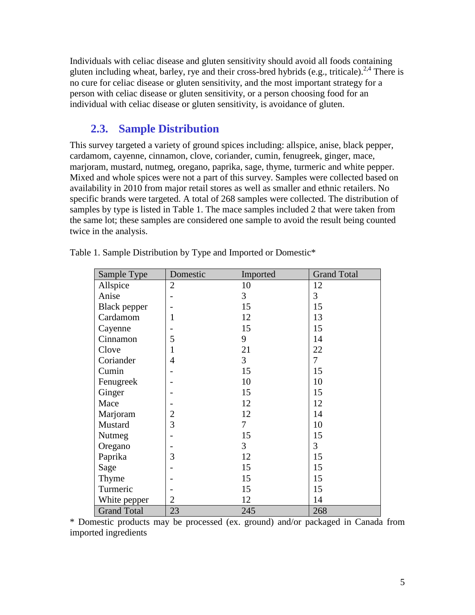Individuals with celiac disease and gluten sensitivity should avoid all foods containing gluten including wheat, barley, rye and their cross-bred hybrids (e.g., triticale).<sup>[2,](#page-4-5)[4](#page-4-6)</sup> There is no cure for celiac disease or gluten sensitivity, and the most important strategy for a person with celiac disease or gluten sensitivity, or a person choosing food for an individual with celiac disease or gluten sensitivity, is avoidance of gluten.

#### **2.3. Sample Distribution**

<span id="page-5-0"></span>This survey targeted a variety of ground spices including: allspice, anise, black pepper, cardamom, cayenne, cinnamon, clove, coriander, cumin, fenugreek, ginger, mace, marjoram, mustard, nutmeg, oregano, paprika, sage, thyme, turmeric and white pepper. Mixed and whole spices were not a part of this survey. Samples were collected based on availability in 2010 from major retail stores as well as smaller and ethnic retailers. No specific brands were targeted. A total of 268 samples were collected. The distribution of samples by type is listed in Table 1. The mace samples included 2 that were taken from the same lot; these samples are considered one sample to avoid the result being counted twice in the analysis.

| Sample Type        | Domestic       | Imported       | <b>Grand Total</b> |
|--------------------|----------------|----------------|--------------------|
| Allspice           | $\overline{2}$ | 10             | 12                 |
| Anise              |                | 3              | 3                  |
| Black pepper       |                | 15             | 15                 |
| Cardamom           | 1              | 12             | 13                 |
| Cayenne            |                | 15             | 15                 |
| Cinnamon           | 5              | 9              | 14                 |
| Clove              | 1              | 21             | 22                 |
| Coriander          | $\overline{4}$ | $\overline{3}$ | $\overline{7}$     |
| Cumin              |                | 15             | 15                 |
| Fenugreek          |                | 10             | 10                 |
| Ginger             |                | 15             | 15                 |
| Mace               |                | 12             | 12                 |
| Marjoram           | $\overline{2}$ | 12             | 14                 |
| Mustard            | $\overline{3}$ | 7              | 10                 |
| Nutmeg             |                | 15             | 15                 |
| Oregano            |                | 3              | 3                  |
| Paprika            | 3              | 12             | 15                 |
| Sage               |                | 15             | 15                 |
| Thyme              |                | 15             | 15                 |
| Turmeric           |                | 15             | 15                 |
| White pepper       | $\overline{2}$ | 12             | 14                 |
| <b>Grand Total</b> | 23             | 245            | 268                |

Table 1. Sample Distribution by Type and Imported or Domestic\*

\* Domestic products may be processed (ex. ground) and/or packaged in Canada from imported ingredients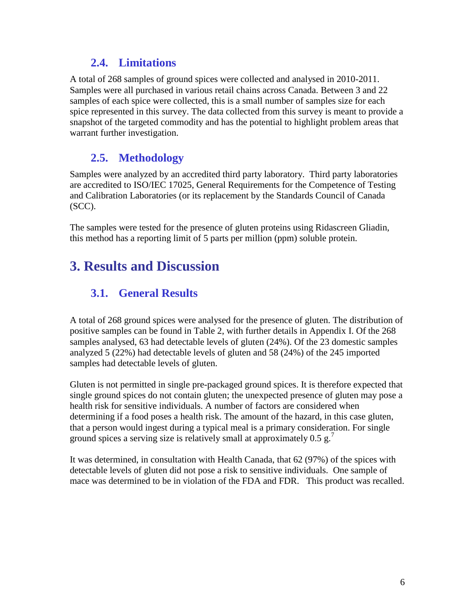#### **2.4. Limitations**

<span id="page-6-0"></span>A total of 268 samples of ground spices were collected and analysed in 2010-2011. Samples were all purchased in various retail chains across Canada. Between 3 and 22 samples of each spice were collected, this is a small number of samples size for each spice represented in this survey. The data collected from this survey is meant to provide a snapshot of the targeted commodity and has the potential to highlight problem areas that warrant further investigation.

#### <span id="page-6-1"></span>**2.5. Methodology**

Samples were analyzed by an accredited third party laboratory. Third party laboratories are accredited to ISO/IEC 17025, General Requirements for the Competence of Testing and Calibration Laboratories (or its replacement by the Standards Council of Canada (SCC).

The samples were tested for the presence of gluten proteins using Ridascreen Gliadin, this method has a reporting limit of 5 parts per million (ppm) soluble protein.

# <span id="page-6-3"></span><span id="page-6-2"></span>**3. Results and Discussion**

#### **3.1. General Results**

A total of 268 ground spices were analysed for the presence of gluten. The distribution of positive samples can be found in Table 2, with further details in Appendix I. Of the 268 samples analysed, 63 had detectable levels of gluten (24%). Of the 23 domestic samples analyzed 5 (22%) had detectable levels of gluten and 58 (24%) of the 245 imported samples had detectable levels of gluten.

Gluten is not permitted in single pre-packaged ground spices. It is therefore expected that single ground spices do not contain gluten; the unexpected presence of gluten may pose a health risk for sensitive individuals. A number of factors are considered when determining if a food poses a health risk. The amount of the hazard, in this case gluten, that a person would ingest during a typical meal is a primary consideration. For single ground spices a serving size is relatively small at approximately  $0.5 \text{ g.}^7$ 

It was determined, in consultation with Health Canada, that 62 (97%) of the spices with detectable levels of gluten did not pose a risk to sensitive individuals. One sample of mace was determined to be in violation of the FDA and FDR. This product was recalled.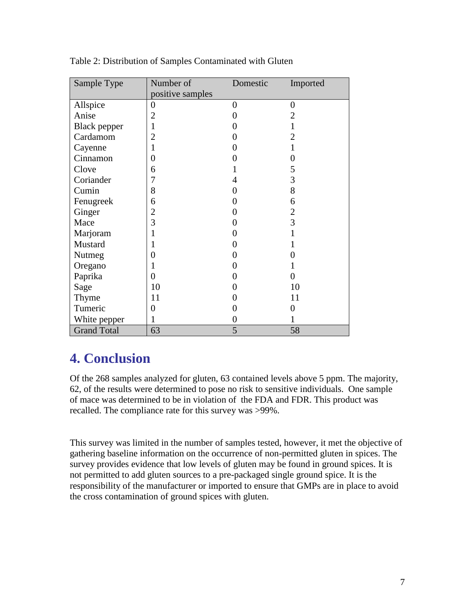| Sample Type         | Number of        | Domestic         | Imported       |
|---------------------|------------------|------------------|----------------|
|                     | positive samples |                  |                |
| Allspice            | $\overline{0}$   | $\overline{0}$   | $\theta$       |
| Anise               | $\overline{2}$   | 0                | 2              |
| <b>Black</b> pepper | $\mathbf{1}$     | 0                |                |
| Cardamom            | $\overline{2}$   | 0                | $\overline{2}$ |
| Cayenne             | 1                | 0                |                |
| Cinnamon            | $\overline{0}$   | 0                | 0              |
| Clove               | 6                |                  | 5              |
| Coriander           | 7                | 4                | 3              |
| Cumin               | 8                | 0                | 8              |
| Fenugreek           | 6                | 0                | 6              |
| Ginger              | $\overline{2}$   | 0                | $\overline{2}$ |
| Mace                | 3                | 0                | 3              |
| Marjoram            | 1                | 0                |                |
| Mustard             | 1                | 0                |                |
| Nutmeg              | $\boldsymbol{0}$ | 0                | 0              |
| Oregano             | 1                | 0                |                |
| Paprika             | $\overline{0}$   | 0                | 0              |
| Sage                | 10               | 0                | 10             |
| Thyme               | 11               | 0                | 11             |
| Tumeric             | $\overline{0}$   | 0                | 0              |
| White pepper        | 1                | $\boldsymbol{0}$ |                |
| <b>Grand Total</b>  | 63               | 5                | 58             |

Table 2: Distribution of Samples Contaminated with Gluten

# <span id="page-7-0"></span>**4. Conclusion**

Of the 268 samples analyzed for gluten, 63 contained levels above 5 ppm. The majority, 62, of the results were determined to pose no risk to sensitive individuals. One sample of mace was determined to be in violation of the FDA and FDR. This product was recalled. The compliance rate for this survey was >99%.

This survey was limited in the number of samples tested, however, it met the objective of gathering baseline information on the occurrence of non-permitted gluten in spices. The survey provides evidence that low levels of gluten may be found in ground spices. It is not permitted to add gluten sources to a pre-packaged single ground spice. It is the responsibility of the manufacturer or imported to ensure that GMPs are in place to avoid the cross contamination of ground spices with gluten.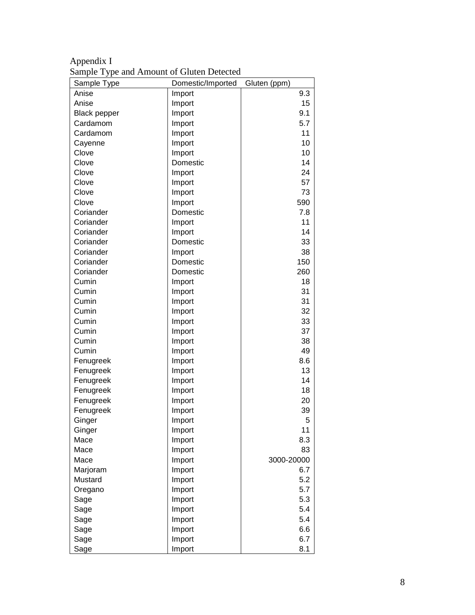| Appendix I                                |  |
|-------------------------------------------|--|
| Sample Type and Amount of Gluten Detected |  |

| Sample Type         | Domestic/Imported | Gluten (ppm) |
|---------------------|-------------------|--------------|
| Anise               | Import            | 9.3          |
| Anise               | Import            | 15           |
| <b>Black pepper</b> | Import            | 9.1          |
| Cardamom            | Import            | 5.7          |
| Cardamom            | Import            | 11           |
| Cayenne             | Import            | 10           |
| Clove               | Import            | 10           |
| Clove               | Domestic          | 14           |
| Clove               | Import            | 24           |
| Clove               | Import            | 57           |
| Clove               | Import            | 73           |
| Clove               | Import            | 590          |
| Coriander           | Domestic          | 7.8          |
| Coriander           | Import            | 11           |
| Coriander           | Import            | 14           |
| Coriander           | Domestic          | 33           |
| Coriander           | Import            | 38           |
| Coriander           | Domestic          | 150          |
| Coriander           | Domestic          | 260          |
| Cumin               | Import            | 18           |
| Cumin               | Import            | 31           |
| Cumin               | Import            | 31           |
| Cumin               | Import            | 32           |
| Cumin               |                   | 33           |
| Cumin               | Import<br>Import  | 37           |
| Cumin               | Import            | 38           |
| Cumin               |                   | 49           |
|                     | Import            |              |
| Fenugreek           | Import            | 8.6          |
| Fenugreek           | Import            | 13           |
| Fenugreek           | Import            | 14           |
| Fenugreek           | Import            | 18           |
| Fenugreek           | Import            | 20           |
| Fenugreek           | Import            | 39           |
| Ginger              | Import            | 5            |
| Ginger              | Import            | 11           |
| Mace                | Import            | 8.3          |
| Mace                | Import            | 83           |
| Mace                | Import            | 3000-20000   |
| Marjoram            | Import            | 6.7          |
| Mustard             | Import            | 5.2          |
| Oregano             | Import            | 5.7          |
| Sage                | Import            | 5.3          |
| Sage                | Import            | 5.4          |
| Sage                | Import            | 5.4          |
| Sage                | Import            | 6.6          |
| Sage                | Import            | 6.7          |
| Sage                | Import            | 8.1          |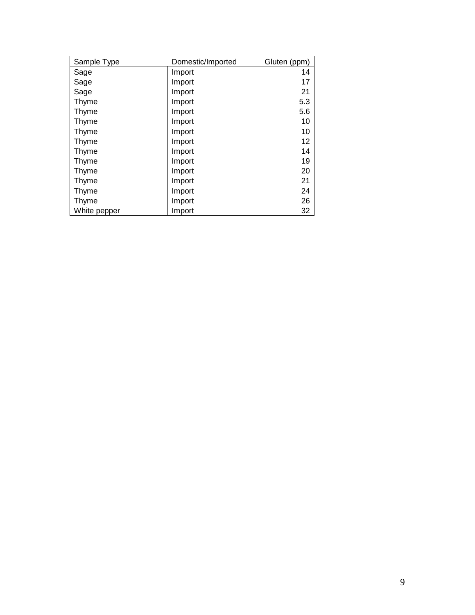| Sample Type  | Domestic/Imported | Gluten (ppm) |
|--------------|-------------------|--------------|
| Sage         | Import            | 14           |
| Sage         | Import            | 17           |
| Sage         | Import            | 21           |
| Thyme        | Import            | 5.3          |
| Thyme        | Import            | 5.6          |
| Thyme        | Import            | 10           |
| Thyme        | Import            | 10           |
| Thyme        | Import            | 12           |
| Thyme        | Import            | 14           |
| Thyme        | Import            | 19           |
| Thyme        | Import            | 20           |
| Thyme        | Import            | 21           |
| Thyme        | Import            | 24           |
| Thyme        | Import            | 26           |
| White pepper | Import            | 32           |